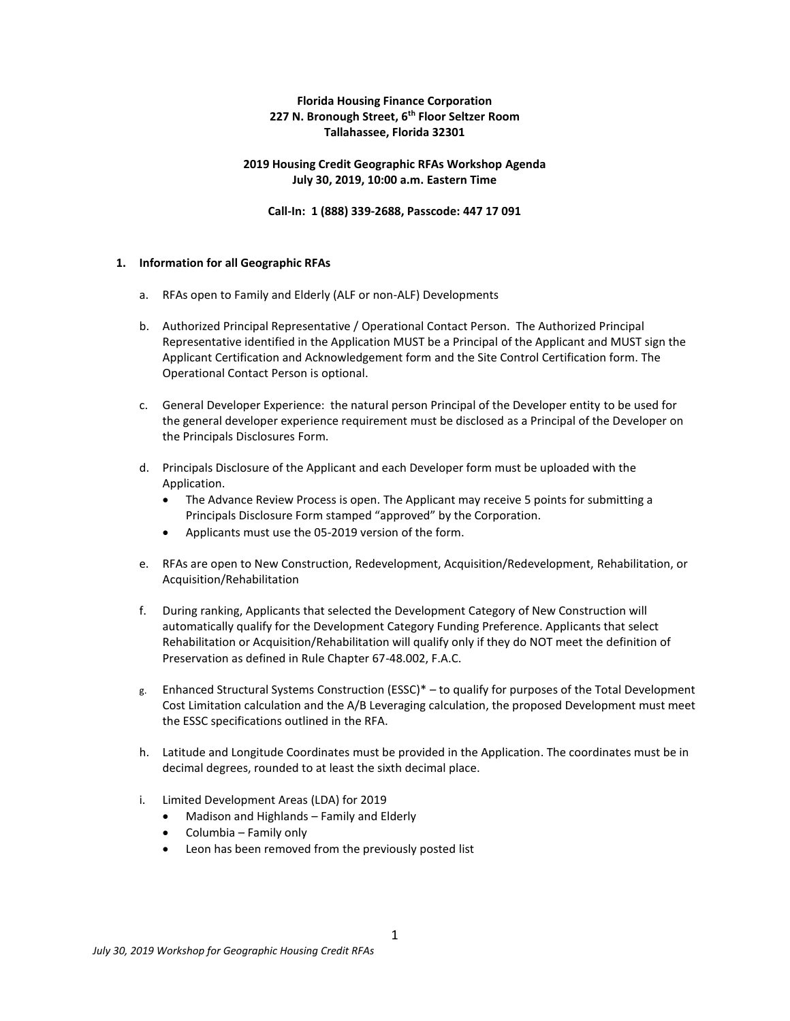### **Florida Housing Finance Corporation 227 N. Bronough Street, 6th Floor Seltzer Room Tallahassee, Florida 32301**

### **2019 Housing Credit Geographic RFAs Workshop Agenda July 30, 2019, 10:00 a.m. Eastern Time**

**Call-In: 1 (888) 339-2688, Passcode: 447 17 091**

#### **1. Information for all Geographic RFAs**

- a. RFAs open to Family and Elderly (ALF or non-ALF) Developments
- b. Authorized Principal Representative / Operational Contact Person. The Authorized Principal Representative identified in the Application MUST be a Principal of the Applicant and MUST sign the Applicant Certification and Acknowledgement form and the Site Control Certification form. The Operational Contact Person is optional.
- c. General Developer Experience: the natural person Principal of the Developer entity to be used for the general developer experience requirement must be disclosed as a Principal of the Developer on the Principals Disclosures Form.
- d. Principals Disclosure of the Applicant and each Developer form must be uploaded with the Application.
	- The Advance Review Process is open. The Applicant may receive 5 points for submitting a Principals Disclosure Form stamped "approved" by the Corporation.
	- Applicants must use the 05-2019 version of the form.
- e. RFAs are open to New Construction, Redevelopment, Acquisition/Redevelopment, Rehabilitation, or Acquisition/Rehabilitation
- f. During ranking, Applicants that selected the Development Category of New Construction will automatically qualify for the Development Category Funding Preference. Applicants that select Rehabilitation or Acquisition/Rehabilitation will qualify only if they do NOT meet the definition of Preservation as defined in Rule Chapter 67-48.002, F.A.C.
- g. Enhanced Structural Systems Construction (ESSC)\* to qualify for purposes of the Total Development Cost Limitation calculation and the A/B Leveraging calculation, the proposed Development must meet the ESSC specifications outlined in the RFA.
- h. Latitude and Longitude Coordinates must be provided in the Application. The coordinates must be in decimal degrees, rounded to at least the sixth decimal place.
- i. Limited Development Areas (LDA) for 2019
	- Madison and Highlands Family and Elderly
	- Columbia Family only
	- Leon has been removed from the previously posted list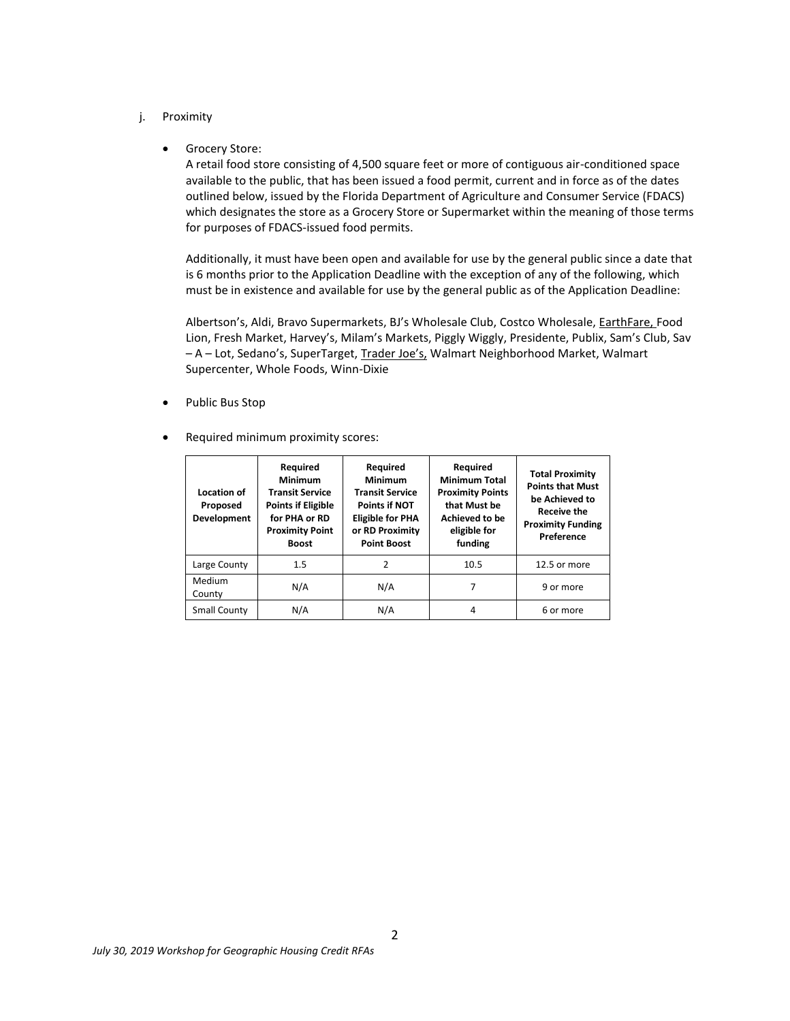- j. Proximity
	- **•** Grocery Store:

A retail food store consisting of 4,500 square feet or more of contiguous air-conditioned space available to the public, that has been issued a food permit, current and in force as of the dates outlined below, issued by the Florida Department of Agriculture and Consumer Service (FDACS) which designates the store as a Grocery Store or Supermarket within the meaning of those terms for purposes of FDACS-issued food permits.

Additionally, it must have been open and available for use by the general public since a date that is 6 months prior to the Application Deadline with the exception of any of the following, which must be in existence and available for use by the general public as of the Application Deadline:

Albertson's, Aldi, Bravo Supermarkets, BJ's Wholesale Club, Costco Wholesale, EarthFare, Food Lion, Fresh Market, Harvey's, Milam's Markets, Piggly Wiggly, Presidente, Publix, Sam's Club, Sav – A – Lot, Sedano's, SuperTarget, Trader Joe's, Walmart Neighborhood Market, Walmart Supercenter, Whole Foods, Winn-Dixie

- Public Bus Stop
- Required minimum proximity scores:

| Location of<br>Proposed<br>Development | Required<br><b>Minimum</b><br><b>Transit Service</b><br><b>Points if Eligible</b><br>for PHA or RD<br><b>Proximity Point</b><br><b>Boost</b> | Required<br><b>Minimum</b><br><b>Transit Service</b><br><b>Points if NOT</b><br><b>Eligible for PHA</b><br>or RD Proximity<br><b>Point Boost</b> | Required<br><b>Minimum Total</b><br><b>Proximity Points</b><br>that Must be<br><b>Achieved to be</b><br>eligible for<br>funding | <b>Total Proximity</b><br><b>Points that Must</b><br>be Achieved to<br><b>Receive the</b><br><b>Proximity Funding</b><br>Preference |
|----------------------------------------|----------------------------------------------------------------------------------------------------------------------------------------------|--------------------------------------------------------------------------------------------------------------------------------------------------|---------------------------------------------------------------------------------------------------------------------------------|-------------------------------------------------------------------------------------------------------------------------------------|
| Large County                           | 1.5                                                                                                                                          | 2                                                                                                                                                | 10.5                                                                                                                            | 12.5 or more                                                                                                                        |
| Medium<br>County                       | N/A                                                                                                                                          | N/A                                                                                                                                              |                                                                                                                                 | 9 or more                                                                                                                           |
| Small County                           | N/A                                                                                                                                          | N/A                                                                                                                                              | 4                                                                                                                               | 6 or more                                                                                                                           |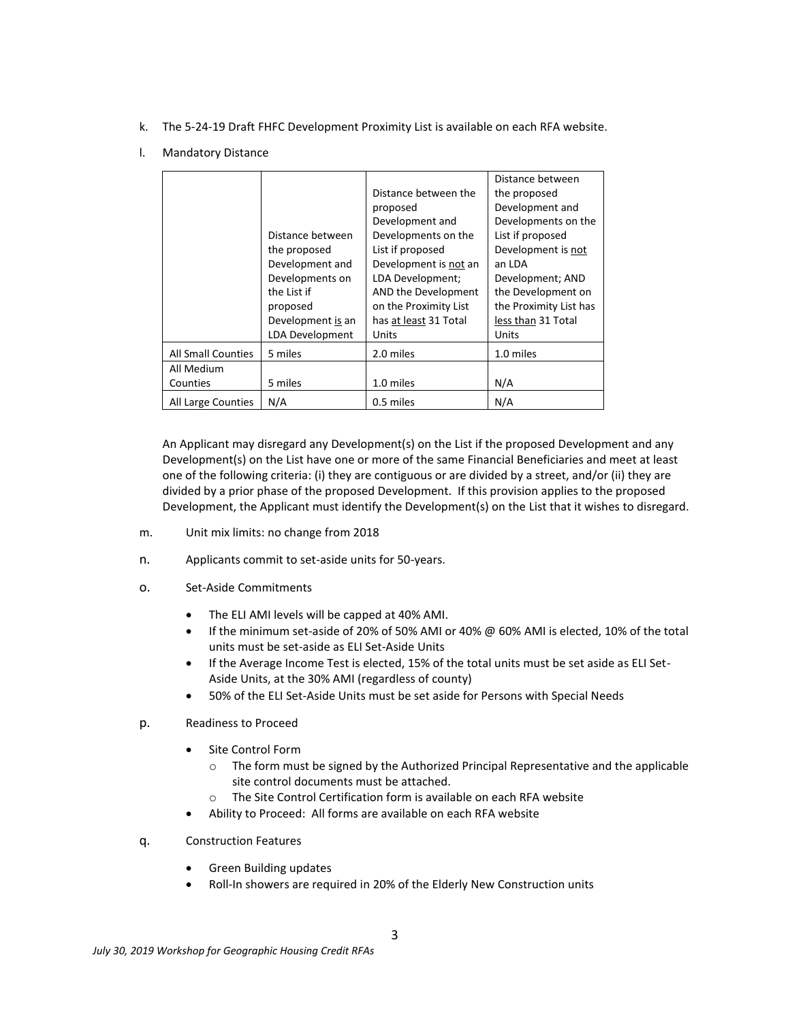- k. The 5-24-19 Draft FHFC Development Proximity List is available on each RFA website.
- l. Mandatory Distance

|                           |                        |                       | Distance between       |
|---------------------------|------------------------|-----------------------|------------------------|
|                           |                        | Distance between the  | the proposed           |
|                           |                        | proposed              | Development and        |
|                           |                        | Development and       | Developments on the    |
|                           | Distance between       | Developments on the   | List if proposed       |
|                           | the proposed           | List if proposed      | Development is not     |
|                           | Development and        | Development is not an | an LDA                 |
|                           | Developments on        | LDA Development;      | Development; AND       |
|                           | the List if            | AND the Development   | the Development on     |
|                           | proposed               | on the Proximity List | the Proximity List has |
|                           | Development is an      | has at least 31 Total | less than 31 Total     |
|                           | <b>LDA Development</b> | Units                 | Units                  |
| <b>All Small Counties</b> | 5 miles                | 2.0 miles             | 1.0 miles              |
| All Medium                |                        |                       |                        |
| Counties                  | 5 miles                | 1.0 miles             | N/A                    |
| All Large Counties        | N/A                    | 0.5 miles             | N/A                    |

An Applicant may disregard any Development(s) on the List if the proposed Development and any Development(s) on the List have one or more of the same Financial Beneficiaries and meet at least one of the following criteria: (i) they are contiguous or are divided by a street, and/or (ii) they are divided by a prior phase of the proposed Development. If this provision applies to the proposed Development, the Applicant must identify the Development(s) on the List that it wishes to disregard.

- m. Unit mix limits: no change from 2018
- n. Applicants commit to set-aside units for 50-years.
- o. Set-Aside Commitments
	- The ELI AMI levels will be capped at 40% AMI.
	- If the minimum set-aside of 20% of 50% AMI or 40% @ 60% AMI is elected, 10% of the total units must be set-aside as ELI Set-Aside Units
	- If the Average Income Test is elected, 15% of the total units must be set aside as ELI Set-Aside Units, at the 30% AMI (regardless of county)
	- 50% of the ELI Set-Aside Units must be set aside for Persons with Special Needs
- p. Readiness to Proceed
	- Site Control Form
		- $\circ$  The form must be signed by the Authorized Principal Representative and the applicable site control documents must be attached.
		- o The Site Control Certification form is available on each RFA website
	- Ability to Proceed: All forms are available on each RFA website
- q. Construction Features
	- Green Building updates
	- Roll-In showers are required in 20% of the Elderly New Construction units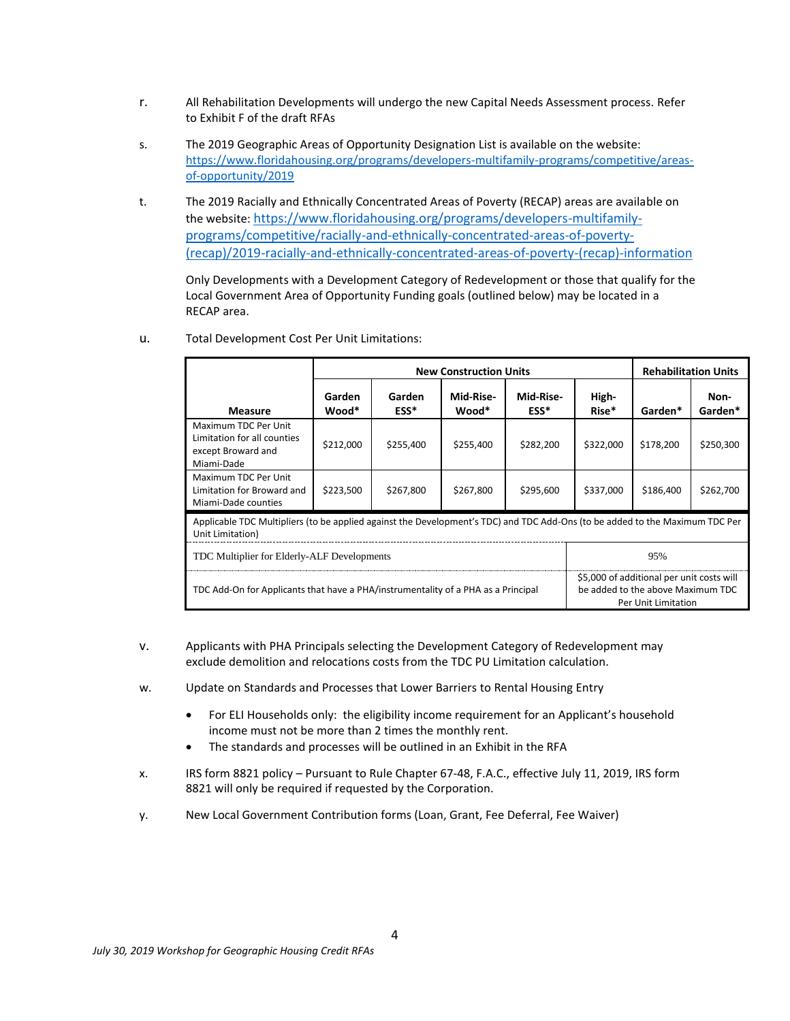- r. All Rehabilitation Developments will undergo the new Capital Needs Assessment process. Refer to Exhibit F of the draft RFAs
- s. The 2019 Geographic Areas of Opportunity Designation List is available on the website: [https://www.floridahousing.org/programs/developers-multifamily-programs/competitive/areas](https://www.floridahousing.org/programs/developers-multifamily-programs/competitive/areas-of-opportunity/2019)[of-opportunity/2019](https://www.floridahousing.org/programs/developers-multifamily-programs/competitive/areas-of-opportunity/2019)
- t. The 2019 Racially and Ethnically Concentrated Areas of Poverty (RECAP) areas are available on the website: [https://www.floridahousing.org/programs/developers-multifamily](https://www.floridahousing.org/programs/developers-multifamily-programs/competitive/racially-and-ethnically-concentrated-areas-of-poverty-(recap)/2019-racially-and-ethnically-concentrated-areas-of-poverty-(recap)-information)[programs/competitive/racially-and-ethnically-concentrated-areas-of-poverty-](https://www.floridahousing.org/programs/developers-multifamily-programs/competitive/racially-and-ethnically-concentrated-areas-of-poverty-(recap)/2019-racially-and-ethnically-concentrated-areas-of-poverty-(recap)-information) [\(recap\)/2019-racially-and-ethnically-concentrated-areas-of-poverty-\(recap\)-information](https://www.floridahousing.org/programs/developers-multifamily-programs/competitive/racially-and-ethnically-concentrated-areas-of-poverty-(recap)/2019-racially-and-ethnically-concentrated-areas-of-poverty-(recap)-information)

Only Developments with a Development Category of Redevelopment or those that qualify for the Local Government Area of Opportunity Funding goals (outlined below) may be located in a RECAP area.

|                                                                                                                                                                                            | <b>New Construction Units</b> |                |                    |                   |                |           | <b>Rehabilitation Units</b> |
|--------------------------------------------------------------------------------------------------------------------------------------------------------------------------------------------|-------------------------------|----------------|--------------------|-------------------|----------------|-----------|-----------------------------|
| <b>Measure</b>                                                                                                                                                                             | Garden<br>Wood*               | Garden<br>ESS* | Mid-Rise-<br>Wood* | Mid-Rise-<br>ESS* | High-<br>Rise* | Garden*   | Non-<br>Garden*             |
| Maximum TDC Per Unit<br>Limitation for all counties<br>except Broward and<br>Miami-Dade                                                                                                    | \$212,000                     | \$255,400      | \$255,400          | \$282,200         | \$322,000      | \$178,200 | \$250,300                   |
| Maximum TDC Per Unit<br>Limitation for Broward and<br>Miami-Dade counties                                                                                                                  | \$223,500                     | \$267,800      | \$267,800          | \$295,600         | \$337,000      | \$186,400 | \$262,700                   |
| Applicable TDC Multipliers (to be applied against the Development's TDC) and TDC Add-Ons (to be added to the Maximum TDC Per<br>Unit Limitation)                                           |                               |                |                    |                   |                |           |                             |
| TDC Multiplier for Elderly-ALF Developments<br>95%                                                                                                                                         |                               |                |                    |                   |                |           |                             |
| \$5,000 of additional per unit costs will<br>TDC Add-On for Applicants that have a PHA/instrumentality of a PHA as a Principal<br>be added to the above Maximum TDC<br>Per Unit Limitation |                               |                |                    |                   |                |           |                             |

u. Total Development Cost Per Unit Limitations:

- v. Applicants with PHA Principals selecting the Development Category of Redevelopment may exclude demolition and relocations costs from the TDC PU Limitation calculation.
- w. Update on Standards and Processes that Lower Barriers to Rental Housing Entry
	- For ELI Households only: the eligibility income requirement for an Applicant's household income must not be more than 2 times the monthly rent.
	- The standards and processes will be outlined in an Exhibit in the RFA
- x. IRS form 8821 policy Pursuant to Rule Chapter 67-48, F.A.C., effective July 11, 2019, IRS form 8821 will only be required if requested by the Corporation.
- y. New Local Government Contribution forms (Loan, Grant, Fee Deferral, Fee Waiver)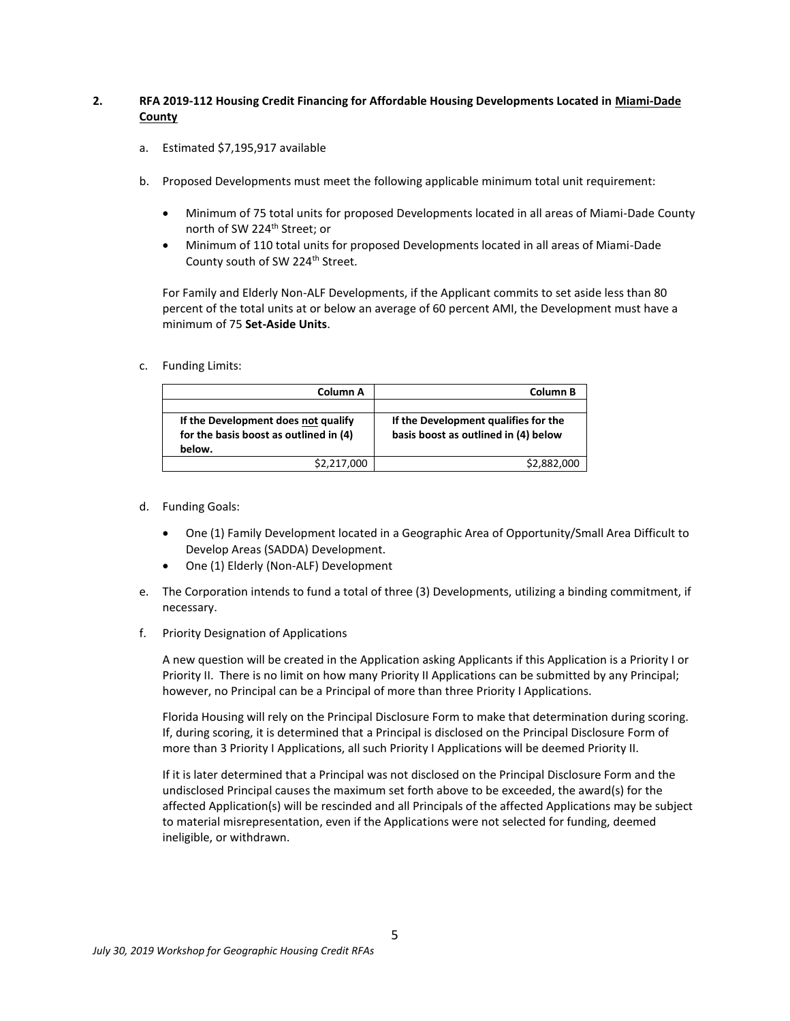## **2. RFA 2019-112 Housing Credit Financing for Affordable Housing Developments Located in Miami-Dade County**

- a. Estimated \$7,195,917 available
- b. Proposed Developments must meet the following applicable minimum total unit requirement:
	- Minimum of 75 total units for proposed Developments located in all areas of Miami-Dade County north of SW 224<sup>th</sup> Street; or
	- Minimum of 110 total units for proposed Developments located in all areas of Miami-Dade County south of SW 224<sup>th</sup> Street.

For Family and Elderly Non-ALF Developments, if the Applicant commits to set aside less than 80 percent of the total units at or below an average of 60 percent AMI, the Development must have a minimum of 75 **Set-Aside Units**.

### c. Funding Limits:

| Column A                               | Column B                             |  |
|----------------------------------------|--------------------------------------|--|
|                                        |                                      |  |
| If the Development does not qualify    | If the Development qualifies for the |  |
| for the basis boost as outlined in (4) | basis boost as outlined in (4) below |  |
| below.                                 |                                      |  |
| \$2,217,000                            | \$2,882,000                          |  |

- d. Funding Goals:
	- One (1) Family Development located in a Geographic Area of Opportunity/Small Area Difficult to Develop Areas (SADDA) Development.
	- One (1) Elderly (Non-ALF) Development
- e. The Corporation intends to fund a total of three (3) Developments, utilizing a binding commitment, if necessary.
- f. Priority Designation of Applications

A new question will be created in the Application asking Applicants if this Application is a Priority I or Priority II. There is no limit on how many Priority II Applications can be submitted by any Principal; however, no Principal can be a Principal of more than three Priority I Applications.

Florida Housing will rely on the Principal Disclosure Form to make that determination during scoring. If, during scoring, it is determined that a Principal is disclosed on the Principal Disclosure Form of more than 3 Priority I Applications, all such Priority I Applications will be deemed Priority II.

If it is later determined that a Principal was not disclosed on the Principal Disclosure Form and the undisclosed Principal causes the maximum set forth above to be exceeded, the award(s) for the affected Application(s) will be rescinded and all Principals of the affected Applications may be subject to material misrepresentation, even if the Applications were not selected for funding, deemed ineligible, or withdrawn.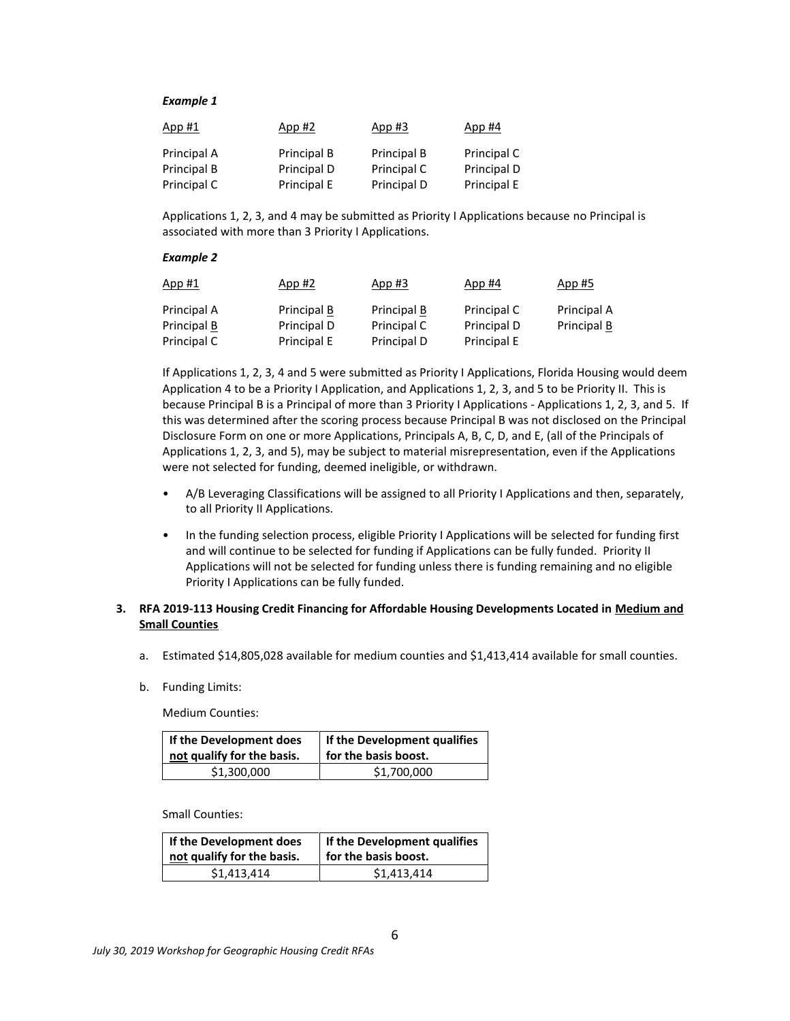#### *Example 1*

| App #1      | App #2      | App #3      | App #4      |
|-------------|-------------|-------------|-------------|
| Principal A | Principal B | Principal B | Principal C |
| Principal B | Principal D | Principal C | Principal D |
| Principal C | Principal E | Principal D | Principal E |

Applications 1, 2, 3, and 4 may be submitted as Priority I Applications because no Principal is associated with more than 3 Priority I Applications.

#### *Example 2*

| App #1      | App #2      | App #3      | App #4      | <u>App #5</u> |
|-------------|-------------|-------------|-------------|---------------|
| Principal A | Principal B | Principal B | Principal C | Principal A   |
| Principal B | Principal D | Principal C | Principal D | Principal B   |
| Principal C | Principal E | Principal D | Principal E |               |

If Applications 1, 2, 3, 4 and 5 were submitted as Priority I Applications, Florida Housing would deem Application 4 to be a Priority I Application, and Applications 1, 2, 3, and 5 to be Priority II. This is because Principal B is a Principal of more than 3 Priority I Applications - Applications 1, 2, 3, and 5. If this was determined after the scoring process because Principal B was not disclosed on the Principal Disclosure Form on one or more Applications, Principals A, B, C, D, and E, (all of the Principals of Applications 1, 2, 3, and 5), may be subject to material misrepresentation, even if the Applications were not selected for funding, deemed ineligible, or withdrawn.

- A/B Leveraging Classifications will be assigned to all Priority I Applications and then, separately, to all Priority II Applications.
- In the funding selection process, eligible Priority I Applications will be selected for funding first and will continue to be selected for funding if Applications can be fully funded. Priority II Applications will not be selected for funding unless there is funding remaining and no eligible Priority I Applications can be fully funded.

### **3. RFA 2019-113 Housing Credit Financing for Affordable Housing Developments Located in Medium and Small Counties**

- a. Estimated \$14,805,028 available for medium counties and \$1,413,414 available for small counties.
- b. Funding Limits:

Medium Counties:

| If the Development does    | If the Development qualifies |  |
|----------------------------|------------------------------|--|
| not qualify for the basis. | for the basis boost.         |  |
| \$1,300,000                | \$1,700,000                  |  |

Small Counties:

| If the Development does    | If the Development qualifies |  |
|----------------------------|------------------------------|--|
| not qualify for the basis. | for the basis boost.         |  |
| \$1,413,414                | \$1,413,414                  |  |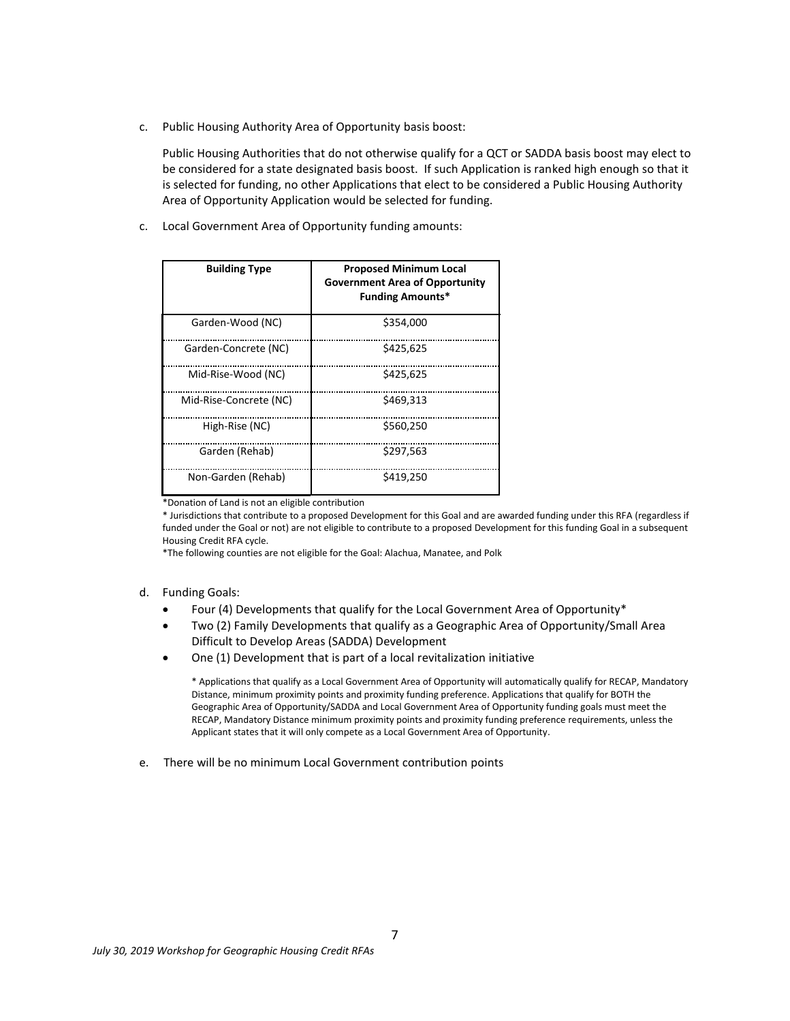c. Public Housing Authority Area of Opportunity basis boost:

Public Housing Authorities that do not otherwise qualify for a QCT or SADDA basis boost may elect to be considered for a state designated basis boost. If such Application is ranked high enough so that it is selected for funding, no other Applications that elect to be considered a Public Housing Authority Area of Opportunity Application would be selected for funding.

c. Local Government Area of Opportunity funding amounts:

| <b>Building Type</b>   | <b>Proposed Minimum Local</b><br><b>Government Area of Opportunity</b><br><b>Funding Amounts*</b> |
|------------------------|---------------------------------------------------------------------------------------------------|
| Garden-Wood (NC)       | \$354,000                                                                                         |
| Garden-Concrete (NC)   | \$425.625                                                                                         |
| Mid-Rise-Wood (NC)     | \$425.625                                                                                         |
| Mid-Rise-Concrete (NC) | \$469.313                                                                                         |
| High-Rise (NC)         | \$560,250                                                                                         |
| Garden (Rehab)         | \$297,563                                                                                         |
| Non-Garden (Rehab)     | \$419,250                                                                                         |

\*Donation of Land is not an eligible contribution

\* Jurisdictions that contribute to a proposed Development for this Goal and are awarded funding under this RFA (regardless if funded under the Goal or not) are not eligible to contribute to a proposed Development for this funding Goal in a subsequent Housing Credit RFA cycle.

\*The following counties are not eligible for the Goal: Alachua, Manatee, and Polk

- d. Funding Goals:
	- Four (4) Developments that qualify for the Local Government Area of Opportunity\*
	- Two (2) Family Developments that qualify as a Geographic Area of Opportunity/Small Area Difficult to Develop Areas (SADDA) Development
	- One (1) Development that is part of a local revitalization initiative

\* Applications that qualify as a Local Government Area of Opportunity will automatically qualify for RECAP, Mandatory Distance, minimum proximity points and proximity funding preference. Applications that qualify for BOTH the Geographic Area of Opportunity/SADDA and Local Government Area of Opportunity funding goals must meet the RECAP, Mandatory Distance minimum proximity points and proximity funding preference requirements, unless the Applicant states that it will only compete as a Local Government Area of Opportunity.

e. There will be no minimum Local Government contribution points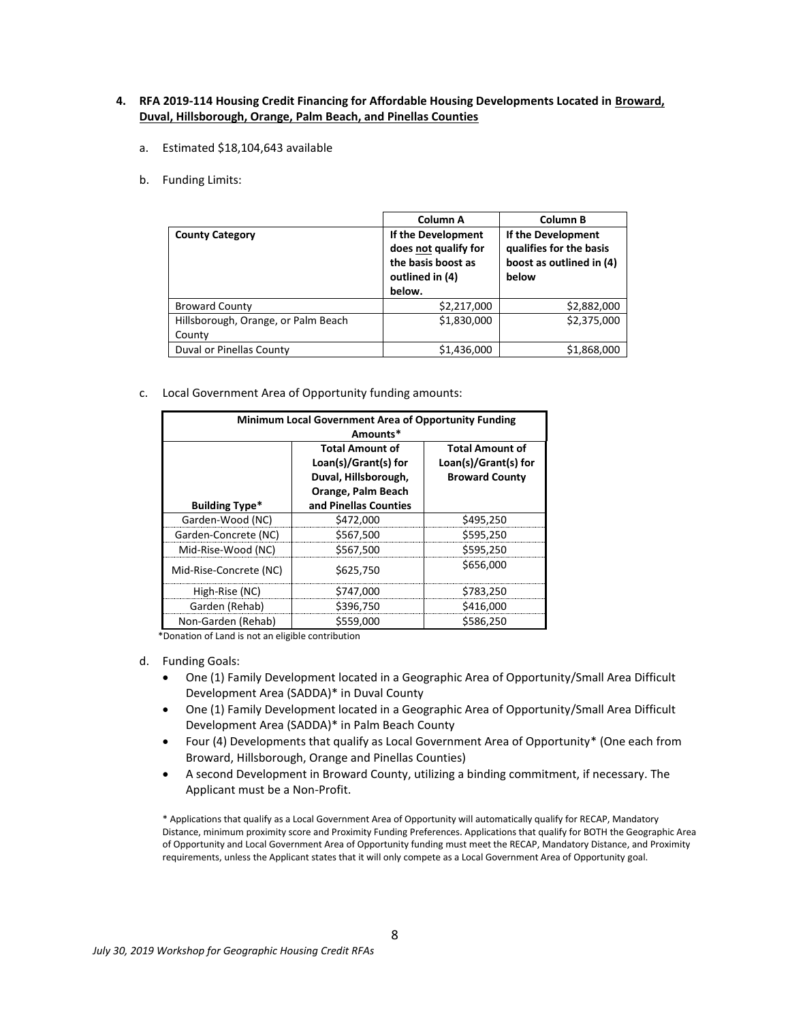### **4. RFA 2019-114 Housing Credit Financing for Affordable Housing Developments Located in Broward, Duval, Hillsborough, Orange, Palm Beach, and Pinellas Counties**

- a. Estimated \$18,104,643 available
- b. Funding Limits:

|                                     | Column A                                                                                      | Column B                                                                           |  |
|-------------------------------------|-----------------------------------------------------------------------------------------------|------------------------------------------------------------------------------------|--|
| <b>County Category</b>              | If the Development<br>does not qualify for<br>the basis boost as<br>outlined in (4)<br>below. | If the Development<br>qualifies for the basis<br>boost as outlined in (4)<br>below |  |
| <b>Broward County</b>               | \$2,217,000                                                                                   | \$2,882,000                                                                        |  |
| Hillsborough, Orange, or Palm Beach | \$1,830,000                                                                                   | \$2,375,000                                                                        |  |
| County                              |                                                                                               |                                                                                    |  |
| Duval or Pinellas County            | \$1,436,000                                                                                   | \$1,868,000                                                                        |  |

c. Local Government Area of Opportunity funding amounts:

| Minimum Local Government Area of Opportunity Funding |                        |                                               |  |
|------------------------------------------------------|------------------------|-----------------------------------------------|--|
|                                                      | Amounts*               |                                               |  |
|                                                      | <b>Total Amount of</b> | <b>Total Amount of</b>                        |  |
|                                                      | Loan(s)/Grant(s) for   | Loan(s)/Grant(s) for<br><b>Broward County</b> |  |
|                                                      | Duval, Hillsborough,   |                                               |  |
|                                                      | Orange, Palm Beach     |                                               |  |
| <b>Building Type*</b>                                | and Pinellas Counties  |                                               |  |
| Garden-Wood (NC)                                     | \$472,000              | \$495,250                                     |  |
| Garden-Concrete (NC)                                 | \$567,500              | \$595,250                                     |  |
| Mid-Rise-Wood (NC)                                   | \$567.500              | \$595,250                                     |  |
| Mid-Rise-Concrete (NC)                               | \$625,750              | \$656,000                                     |  |
| High-Rise (NC)                                       | \$747,000              | \$783,250                                     |  |
| Garden (Rehab)                                       | \$396,750              | \$416,000                                     |  |
| Non-Garden (Rehab)                                   | \$559,000              | \$586.250                                     |  |

\*Donation of Land is not an eligible contribution

- d. Funding Goals:
	- One (1) Family Development located in a Geographic Area of Opportunity/Small Area Difficult Development Area (SADDA)\* in Duval County
	- One (1) Family Development located in a Geographic Area of Opportunity/Small Area Difficult Development Area (SADDA)\* in Palm Beach County
	- Four (4) Developments that qualify as Local Government Area of Opportunity\* (One each from Broward, Hillsborough, Orange and Pinellas Counties)
	- A second Development in Broward County, utilizing a binding commitment, if necessary. The Applicant must be a Non-Profit.

\* Applications that qualify as a Local Government Area of Opportunity will automatically qualify for RECAP, Mandatory Distance, minimum proximity score and Proximity Funding Preferences. Applications that qualify for BOTH the Geographic Area of Opportunity and Local Government Area of Opportunity funding must meet the RECAP, Mandatory Distance, and Proximity requirements, unless the Applicant states that it will only compete as a Local Government Area of Opportunity goal.